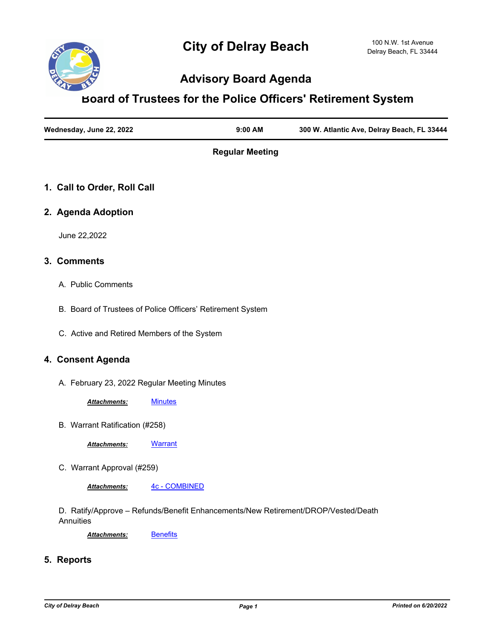

# **Advisory Board Agenda**

# **Board of Trustees for the Police Officers' Retirement System**

| Wednesday, June 22, 2022 | $9:00$ AM | 300 W. Atlantic Ave, Delray Beach, FL 33444 |
|--------------------------|-----------|---------------------------------------------|
|                          |           |                                             |

**Regular Meeting**

## **1. Call to Order, Roll Call**

#### **2. Agenda Adoption**

June 22,2022

#### **3. Comments**

- A. Public Comments
- B. Board of Trustees of Police Officers' Retirement System
- C. Active and Retired Members of the System

#### **4. Consent Agenda**

A. February 23, 2022 Regular Meeting Minutes

*Attachments:* [Minutes](http://delraybeach.legistar.com/gateway.aspx?M=F&ID=593ba646-75d5-4dbf-8bc9-45d802d44239.pdf)

B. Warrant Ratification (#258)

*Attachments:* [Warrant](http://delraybeach.legistar.com/gateway.aspx?M=F&ID=4f2a6c57-3408-4da0-add7-0c6bd182a752.pdf)

C. Warrant Approval (#259)

*Attachments:* [4c - COMBINED](http://delraybeach.legistar.com/gateway.aspx?M=F&ID=081b2ff7-3280-44dd-841d-34a76c378bfb.pdf)

D. Ratify/Approve – Refunds/Benefit Enhancements/New Retirement/DROP/Vested/Death **Annuities** 

Attachments: **[Benefits](http://delraybeach.legistar.com/gateway.aspx?M=F&ID=f0c02bc2-9e93-4938-803d-e59a0217243f.pdf)** 

**5. Reports**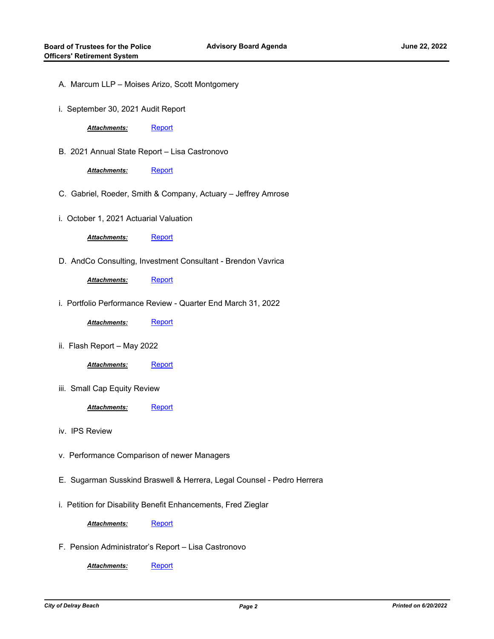- A. Marcum LLP Moises Arizo, Scott Montgomery
- i. September 30, 2021 Audit Report

Attachments: [Report](http://delraybeach.legistar.com/gateway.aspx?M=F&ID=aa67403d-ec16-4747-8712-b7300c1b7826.pdf)

B. 2021 Annual State Report – Lisa Castronovo

Attachments: [Report](http://delraybeach.legistar.com/gateway.aspx?M=F&ID=fa7c35b9-d27f-4e23-8279-b907907a840a.pdf)

- C. Gabriel, Roeder, Smith & Company, Actuary Jeffrey Amrose
- i. October 1, 2021 Actuarial Valuation

Attachments: [Report](http://delraybeach.legistar.com/gateway.aspx?M=F&ID=5e6a8225-e71d-427c-a29c-bd065046930b.pdf)

D. AndCo Consulting, Investment Consultant - Brendon Vavrica

Attachments: [Report](http://delraybeach.legistar.com/gateway.aspx?M=F&ID=9426c78e-817e-455b-995a-0556e3325205.pdf)

i. Portfolio Performance Review - Quarter End March 31, 2022

Attachments: [Report](http://delraybeach.legistar.com/gateway.aspx?M=F&ID=1e32a211-4cf4-4eab-9ee3-592df40cc09b.pdf)

ii. Flash Report – May 2022

*Attachments:* [Report](http://delraybeach.legistar.com/gateway.aspx?M=F&ID=22eb5742-428b-4794-b1f7-9f420dad02e8.pdf)

iii. Small Cap Equity Review

Attachments: [Report](http://delraybeach.legistar.com/gateway.aspx?M=F&ID=d50b9e43-7f53-436d-a6d7-bf00231a2229.pdf)

- iv. IPS Review
- v. Performance Comparison of newer Managers
- E. Sugarman Susskind Braswell & Herrera, Legal Counsel Pedro Herrera
- i. Petition for Disability Benefit Enhancements, Fred Zieglar

Attachments: [Report](http://delraybeach.legistar.com/gateway.aspx?M=F&ID=b9f6f10d-e65b-414c-83bc-96b95bee6d81.pdf)

F. Pension Administrator's Report – Lisa Castronovo

Attachments: [Report](http://delraybeach.legistar.com/gateway.aspx?M=F&ID=3535fa28-f010-4461-9fe7-f85e6edf6d29.pdf)